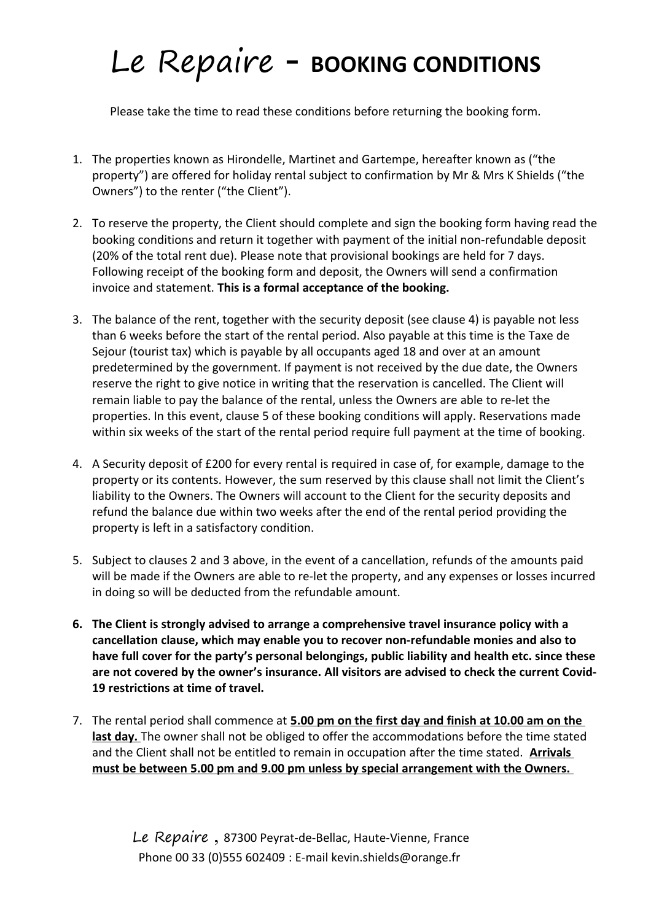## Le Repaire - **BOOKING CONDITIONS**

Please take the time to read these conditions before returning the booking form.

- 1. The properties known as Hirondelle, Martinet and Gartempe, hereafter known as ("the property") are offered for holiday rental subject to confirmation by Mr & Mrs K Shields ("the Owners") to the renter ("the Client").
- 2. To reserve the property, the Client should complete and sign the booking form having read the booking conditions and return it together with payment of the initial non-refundable deposit (20% of the total rent due). Please note that provisional bookings are held for 7 days. Following receipt of the booking form and deposit, the Owners will send a confirmation invoice and statement. **This is a formal acceptance of the booking.**
- 3. The balance of the rent, together with the security deposit (see clause 4) is payable not less than 6 weeks before the start of the rental period. Also payable at this time is the Taxe de Sejour (tourist tax) which is payable by all occupants aged 18 and over at an amount predetermined by the government. If payment is not received by the due date, the Owners reserve the right to give notice in writing that the reservation is cancelled. The Client will remain liable to pay the balance of the rental, unless the Owners are able to re-let the properties. In this event, clause 5 of these booking conditions will apply. Reservations made within six weeks of the start of the rental period require full payment at the time of booking.
- 4. A Security deposit of £200 for every rental is required in case of, for example, damage to the property or its contents. However, the sum reserved by this clause shall not limit the Client's liability to the Owners. The Owners will account to the Client for the security deposits and refund the balance due within two weeks after the end of the rental period providing the property is left in a satisfactory condition.
- 5. Subject to clauses 2 and 3 above, in the event of a cancellation, refunds of the amounts paid will be made if the Owners are able to re-let the property, and any expenses or losses incurred in doing so will be deducted from the refundable amount.
- **6. The Client is strongly advised to arrange a comprehensive travel insurance policy with a cancellation clause, which may enable you to recover non-refundable monies and also to have full cover for the party's personal belongings, public liability and health etc. since these are not covered by the owner's insurance. All visitors are advised to check the current Covid-19 restrictions at time of travel.**
- 7. The rental period shall commence at **5.00 pm on the first day and finish at 10.00 am on the last day.** The owner shall not be obliged to offer the accommodations before the time stated and the Client shall not be entitled to remain in occupation after the time stated. **Arrivals must be between 5.00 pm and 9.00 pm unless by special arrangement with the Owners.**

Le Repaire , 87300 Peyrat-de-Bellac, Haute-Vienne, France Phone 00 33 (0)555 602409 : E-mail kevin.shields@orange.fr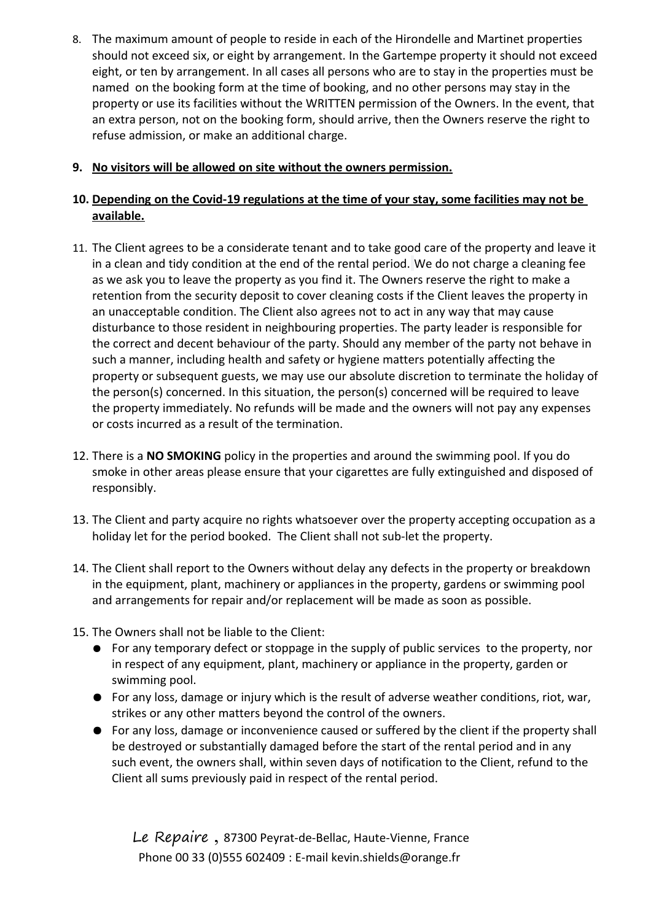8. The maximum amount of people to reside in each of the Hirondelle and Martinet properties should not exceed six, or eight by arrangement. In the Gartempe property it should not exceed eight, or ten by arrangement. In all cases all persons who are to stay in the properties must be named on the booking form at the time of booking, and no other persons may stay in the property or use its facilities without the WRITTEN permission of the Owners. In the event, that an extra person, not on the booking form, should arrive, then the Owners reserve the right to refuse admission, or make an additional charge.

## **9. No visitors will be allowed on site without the owners permission.**

## **10. Depending on the Covid-19 regulations at the time of your stay, some facilities may not be available.**

- 11. The Client agrees to be a considerate tenant and to take good care of the property and leave it in a clean and tidy condition at the end of the rental period. We do not charge a cleaning fee as we ask you to leave the property as you find it. The Owners reserve the right to make a retention from the security deposit to cover cleaning costs if the Client leaves the property in an unacceptable condition. The Client also agrees not to act in any way that may cause disturbance to those resident in neighbouring properties. The party leader is responsible for the correct and decent behaviour of the party. Should any member of the party not behave in such a manner, including health and safety or hygiene matters potentially affecting the property or subsequent guests, we may use our absolute discretion to terminate the holiday of the person(s) concerned. In this situation, the person(s) concerned will be required to leave the property immediately. No refunds will be made and the owners will not pay any expenses or costs incurred as a result of the termination.
- 12. There is a **NO SMOKING** policy in the properties and around the swimming pool. If you do smoke in other areas please ensure that your cigarettes are fully extinguished and disposed of responsibly.
- 13. The Client and party acquire no rights whatsoever over the property accepting occupation as a holiday let for the period booked. The Client shall not sub-let the property.
- 14. The Client shall report to the Owners without delay any defects in the property or breakdown in the equipment, plant, machinery or appliances in the property, gardens or swimming pool and arrangements for repair and/or replacement will be made as soon as possible.
- 15. The Owners shall not be liable to the Client:
	- For any temporary defect or stoppage in the supply of public services to the property, nor in respect of any equipment, plant, machinery or appliance in the property, garden or swimming pool.
	- For any loss, damage or injury which is the result of adverse weather conditions, riot, war, strikes or any other matters beyond the control of the owners.
	- For any loss, damage or inconvenience caused or suffered by the client if the property shall be destroyed or substantially damaged before the start of the rental period and in any such event, the owners shall, within seven days of notification to the Client, refund to the Client all sums previously paid in respect of the rental period.

Le Repaire, 87300 Peyrat-de-Bellac, Haute-Vienne, France Phone 00 33 (0)555 602409 : E-mail kevin.shields@orange.fr